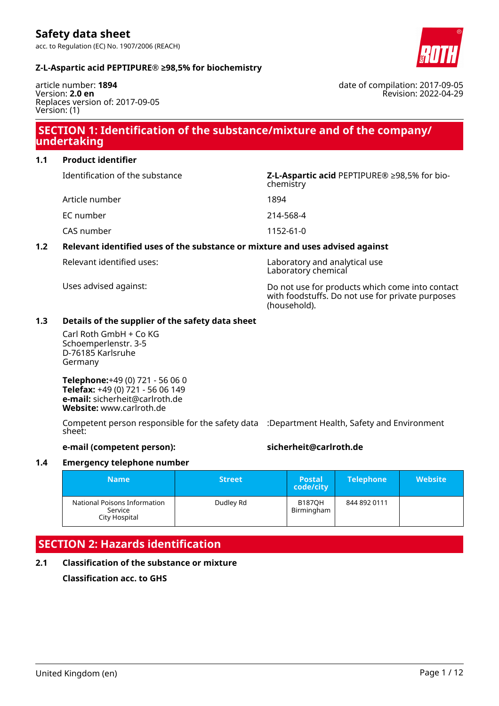date of compilation: 2017-09-05

Revision: 2022-04-29

#### **Z-L-Aspartic acid PEPTIPURE® ≥98,5% for biochemistry**

article number: **1894** Version: **2.0 en** Replaces version of: 2017-09-05 Version: (1)

### **SECTION 1: Identification of the substance/mixture and of the company/ undertaking**

**1.1 Product identifier**

| Identification of the substance | Z-L-Aspartic acid PEPTIPURE <sup>®</sup> ≥98,5% for bio-<br>chemistry |
|---------------------------------|-----------------------------------------------------------------------|
| Article number                  | 1894                                                                  |
| EC number                       | 214-568-4                                                             |
| CAS number                      | 1152-61-0                                                             |
|                                 |                                                                       |

### **1.2 Relevant identified uses of the substance or mixture and uses advised against**

| Relevant identified uses: | Laboratory and analytical use<br>Laboratory chemical                                                                |
|---------------------------|---------------------------------------------------------------------------------------------------------------------|
| Uses advised against:     | Do not use for products which come into contact<br>with foodstuffs. Do not use for private purposes<br>(household). |

#### **1.3 Details of the supplier of the safety data sheet**

Carl Roth GmbH + Co KG Schoemperlenstr. 3-5 D-76185 Karlsruhe Germany

**Telephone:**+49 (0) 721 - 56 06 0 **Telefax:** +49 (0) 721 - 56 06 149 **e-mail:** sicherheit@carlroth.de **Website:** www.carlroth.de

Competent person responsible for the safety data :Department Health, Safety and Environment sheet:

#### **e-mail (competent person): sicherheit@carlroth.de**

#### **1.4 Emergency telephone number**

| <b>Name</b>                                              | <b>Street</b> | <b>Postal</b><br>code/city  | <b>Telephone</b> | <b>Website</b> |
|----------------------------------------------------------|---------------|-----------------------------|------------------|----------------|
| National Poisons Information<br>Service<br>City Hospital | Dudley Rd     | <b>B187OH</b><br>Birmingham | 844 892 0111     |                |

### **SECTION 2: Hazards identification**

#### **2.1 Classification of the substance or mixture**

**Classification acc. to GHS**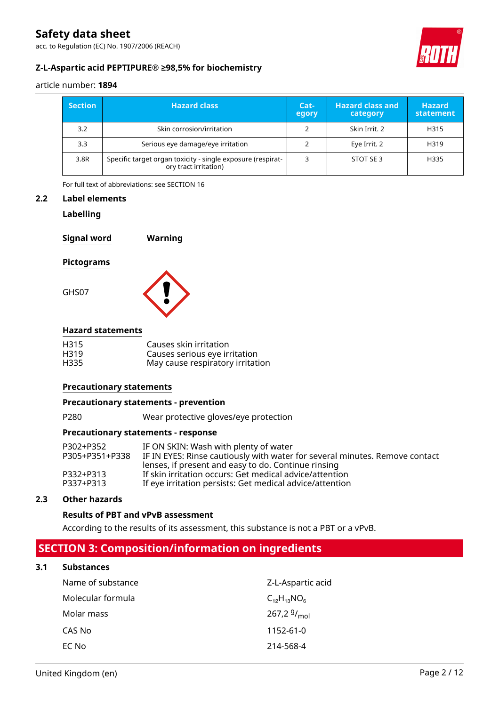acc. to Regulation (EC) No. 1907/2006 (REACH)



### **Z-L-Aspartic acid PEPTIPURE® ≥98,5% for biochemistry**

article number: **1894**

| <b>Section</b> | <b>Hazard class</b>                                                                  | Cat-<br>egory | <b>Hazard class and</b><br>category | <b>Hazard</b><br>statement |
|----------------|--------------------------------------------------------------------------------------|---------------|-------------------------------------|----------------------------|
| 3.2            | Skin corrosion/irritation                                                            |               | Skin Irrit, 2                       | H315                       |
| 3.3            | Serious eye damage/eye irritation                                                    |               | Eye Irrit. 2                        | H319                       |
| 3.8R           | Specific target organ toxicity - single exposure (respirat-<br>ory tract irritation) |               | STOT SE3                            | H335                       |

For full text of abbreviations: see SECTION 16

#### **2.2 Label elements**

#### **Labelling**

| <b>Signal word</b> | Warning |
|--------------------|---------|
| <b>Pictograms</b>  |         |
| GHS07              |         |

#### **Hazard statements**

| H315 | Causes skin irritation           |
|------|----------------------------------|
| H319 | Causes serious eye irritation    |
| H335 | May cause respiratory irritation |

#### **Precautionary statements**

#### **Precautionary statements - prevention**

P280 Wear protective gloves/eye protection

#### **Precautionary statements - response**

| P302+P352      | IF ON SKIN: Wash with plenty of water                                       |
|----------------|-----------------------------------------------------------------------------|
| P305+P351+P338 | IF IN EYES: Rinse cautiously with water for several minutes. Remove contact |
|                | lenses, if present and easy to do. Continue rinsing                         |
| P332+P313      | If skin irritation occurs: Get medical advice/attention                     |
| P337+P313      | If eye irritation persists: Get medical advice/attention                    |

#### **2.3 Other hazards**

#### **Results of PBT and vPvB assessment**

According to the results of its assessment, this substance is not a PBT or a vPvB.

### **SECTION 3: Composition/information on ingredients**

#### **3.1 Substances**

| Name of substance | Z-L-Aspartic acid  |
|-------------------|--------------------|
| Molecular formula | $C_{12}H_{13}NO_6$ |
| Molar mass        | 267,2 $9/_{mol}$   |
| CAS No            | $1152 - 61 - 0$    |
| EC No             | 214-568-4          |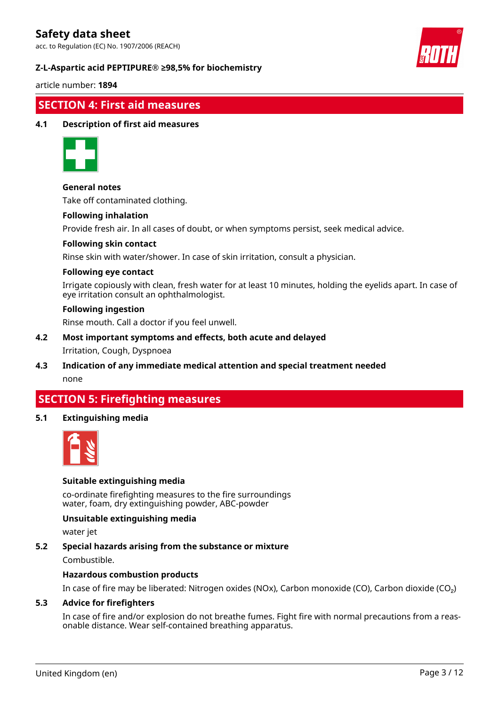acc. to Regulation (EC) No. 1907/2006 (REACH)

#### **Z-L-Aspartic acid PEPTIPURE® ≥98,5% for biochemistry**



article number: **1894**

### **SECTION 4: First aid measures**

#### **4.1 Description of first aid measures**



#### **General notes**

Take off contaminated clothing.

#### **Following inhalation**

Provide fresh air. In all cases of doubt, or when symptoms persist, seek medical advice.

#### **Following skin contact**

Rinse skin with water/shower. In case of skin irritation, consult a physician.

#### **Following eye contact**

Irrigate copiously with clean, fresh water for at least 10 minutes, holding the eyelids apart. In case of eye irritation consult an ophthalmologist.

#### **Following ingestion**

Rinse mouth. Call a doctor if you feel unwell.

## **4.2 Most important symptoms and effects, both acute and delayed**

#### Irritation, Cough, Dyspnoea

**4.3 Indication of any immediate medical attention and special treatment needed** none

### **SECTION 5: Firefighting measures**

#### **5.1 Extinguishing media**



#### **Suitable extinguishing media**

co-ordinate firefighting measures to the fire surroundings water, foam, dry extinguishing powder, ABC-powder

#### **Unsuitable extinguishing media**

water jet

#### **5.2 Special hazards arising from the substance or mixture**

Combustible.

#### **Hazardous combustion products**

In case of fire may be liberated: Nitrogen oxides (NOx), Carbon monoxide (CO), Carbon dioxide (CO₂)

#### **5.3 Advice for firefighters**

In case of fire and/or explosion do not breathe fumes. Fight fire with normal precautions from a reasonable distance. Wear self-contained breathing apparatus.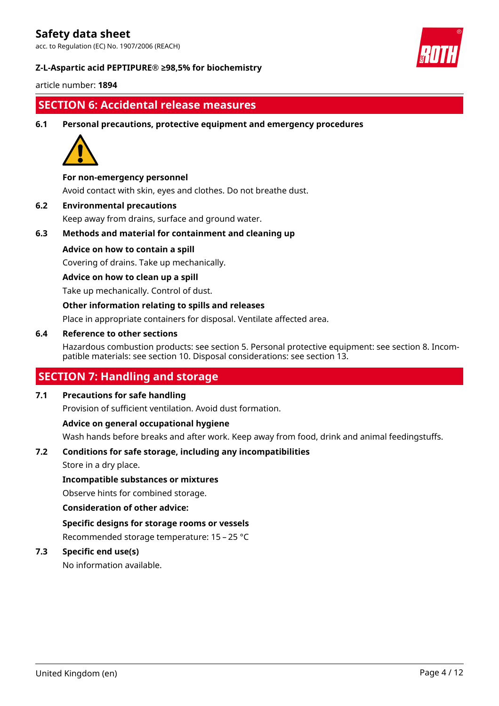acc. to Regulation (EC) No. 1907/2006 (REACH)

#### **Z-L-Aspartic acid PEPTIPURE® ≥98,5% for biochemistry**



article number: **1894**

### **SECTION 6: Accidental release measures**

**6.1 Personal precautions, protective equipment and emergency procedures**



#### **For non-emergency personnel**

Avoid contact with skin, eyes and clothes. Do not breathe dust.

**6.2 Environmental precautions**

Keep away from drains, surface and ground water.

### **6.3 Methods and material for containment and cleaning up**

#### **Advice on how to contain a spill**

Covering of drains. Take up mechanically.

#### **Advice on how to clean up a spill**

Take up mechanically. Control of dust.

#### **Other information relating to spills and releases**

Place in appropriate containers for disposal. Ventilate affected area.

#### **6.4 Reference to other sections**

Hazardous combustion products: see section 5. Personal protective equipment: see section 8. Incompatible materials: see section 10. Disposal considerations: see section 13.

### **SECTION 7: Handling and storage**

#### **7.1 Precautions for safe handling**

Provision of sufficient ventilation. Avoid dust formation.

#### **Advice on general occupational hygiene**

Wash hands before breaks and after work. Keep away from food, drink and animal feedingstuffs.

#### **7.2 Conditions for safe storage, including any incompatibilities**

Store in a dry place.

#### **Incompatible substances or mixtures**

Observe hints for combined storage.

#### **Consideration of other advice:**

**Specific designs for storage rooms or vessels** Recommended storage temperature: 15 – 25 °C

#### **7.3 Specific end use(s)**

No information available.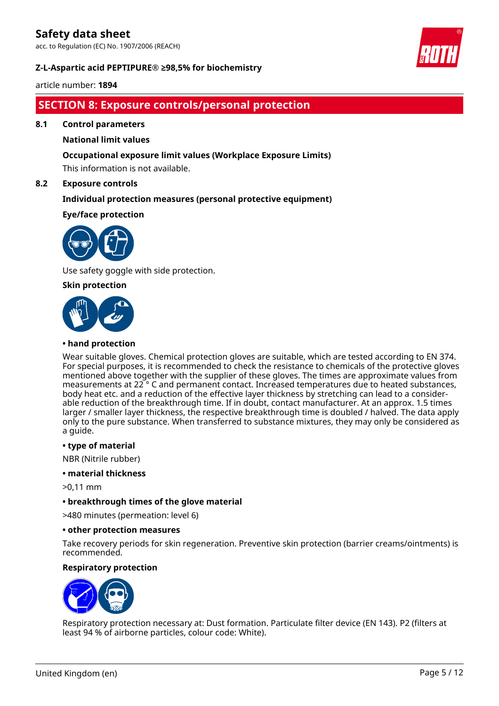acc. to Regulation (EC) No. 1907/2006 (REACH)

#### **Z-L-Aspartic acid PEPTIPURE® ≥98,5% for biochemistry**



article number: **1894**

### **SECTION 8: Exposure controls/personal protection**

**8.1 Control parameters**

#### **National limit values**

#### **Occupational exposure limit values (Workplace Exposure Limits)**

This information is not available.

#### **8.2 Exposure controls**

#### **Individual protection measures (personal protective equipment)**

#### **Eye/face protection**



Use safety goggle with side protection.

#### **Skin protection**



#### **• hand protection**

Wear suitable gloves. Chemical protection gloves are suitable, which are tested according to EN 374. For special purposes, it is recommended to check the resistance to chemicals of the protective gloves mentioned above together with the supplier of these gloves. The times are approximate values from measurements at 22 ° C and permanent contact. Increased temperatures due to heated substances, body heat etc. and a reduction of the effective layer thickness by stretching can lead to a considerable reduction of the breakthrough time. If in doubt, contact manufacturer. At an approx. 1.5 times larger / smaller layer thickness, the respective breakthrough time is doubled / halved. The data apply only to the pure substance. When transferred to substance mixtures, they may only be considered as a guide.

#### **• type of material**

NBR (Nitrile rubber)

#### **• material thickness**

>0,11 mm

#### **• breakthrough times of the glove material**

>480 minutes (permeation: level 6)

#### **• other protection measures**

Take recovery periods for skin regeneration. Preventive skin protection (barrier creams/ointments) is recommended.

#### **Respiratory protection**



Respiratory protection necessary at: Dust formation. Particulate filter device (EN 143). P2 (filters at least 94 % of airborne particles, colour code: White).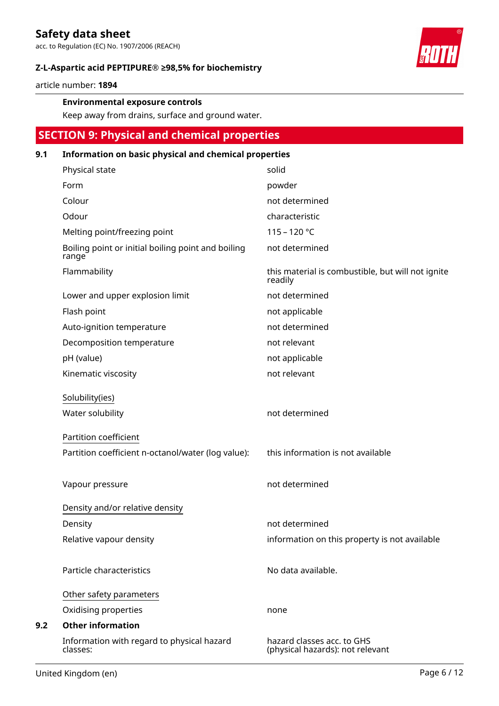acc. to Regulation (EC) No. 1907/2006 (REACH)

#### **Z-L-Aspartic acid PEPTIPURE® ≥98,5% for biochemistry**

article number: **1894**

#### **Environmental exposure controls**

Keep away from drains, surface and ground water.

### **SECTION 9: Physical and chemical properties**

#### **9.1 Information on basic physical and chemical properties**

| Physical state                                              | solid                                                          |
|-------------------------------------------------------------|----------------------------------------------------------------|
| Form                                                        | powder                                                         |
| Colour                                                      | not determined                                                 |
| Odour                                                       | characteristic                                                 |
| Melting point/freezing point                                | $115 - 120 °C$                                                 |
| Boiling point or initial boiling point and boiling<br>range | not determined                                                 |
| Flammability                                                | this material is combustible, but will not ignite<br>readily   |
| Lower and upper explosion limit                             | not determined                                                 |
| Flash point                                                 | not applicable                                                 |
| Auto-ignition temperature                                   | not determined                                                 |
| Decomposition temperature                                   | not relevant                                                   |
| pH (value)                                                  | not applicable                                                 |
| Kinematic viscosity                                         | not relevant                                                   |
| Solubility(ies)                                             |                                                                |
| Water solubility                                            | not determined                                                 |
| Partition coefficient                                       |                                                                |
| Partition coefficient n-octanol/water (log value):          | this information is not available                              |
|                                                             |                                                                |
| Vapour pressure                                             | not determined                                                 |
| Density and/or relative density                             |                                                                |
| Density                                                     | not determined                                                 |
| Relative vapour density                                     | information on this property is not available                  |
|                                                             |                                                                |
| Particle characteristics                                    | No data available.                                             |
| Other safety parameters                                     |                                                                |
| Oxidising properties                                        | none                                                           |
| <b>Other information</b>                                    |                                                                |
| Information with regard to physical hazard<br>classes:      | hazard classes acc. to GHS<br>(physical hazards): not relevant |

**9.2**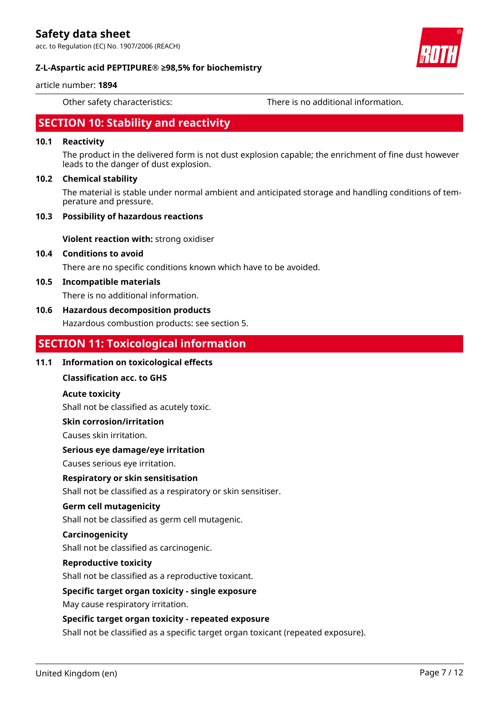acc. to Regulation (EC) No. 1907/2006 (REACH)





#### **Z-L-Aspartic acid PEPTIPURE® ≥98,5% for biochemistry**

#### article number: **1894**

Other safety characteristics: There is no additional information.

### **SECTION 10: Stability and reactivity**

### **10.1 Reactivity**

The product in the delivered form is not dust explosion capable; the enrichment of fine dust however leads to the danger of dust explosion.

#### **10.2 Chemical stability**

The material is stable under normal ambient and anticipated storage and handling conditions of temperature and pressure.

#### **10.3 Possibility of hazardous reactions**

**Violent reaction with:** strong oxidiser

#### **10.4 Conditions to avoid**

There are no specific conditions known which have to be avoided.

#### **10.5 Incompatible materials**

There is no additional information.

#### **10.6 Hazardous decomposition products**

Hazardous combustion products: see section 5.

### **SECTION 11: Toxicological information**

#### **11.1 Information on toxicological effects**

#### **Classification acc. to GHS**

#### **Acute toxicity**

Shall not be classified as acutely toxic.

#### **Skin corrosion/irritation**

Causes skin irritation.

#### **Serious eye damage/eye irritation**

Causes serious eye irritation.

#### **Respiratory or skin sensitisation**

Shall not be classified as a respiratory or skin sensitiser.

#### **Germ cell mutagenicity**

Shall not be classified as germ cell mutagenic.

#### **Carcinogenicity**

Shall not be classified as carcinogenic.

#### **Reproductive toxicity**

Shall not be classified as a reproductive toxicant.

#### **Specific target organ toxicity - single exposure**

May cause respiratory irritation.

#### **Specific target organ toxicity - repeated exposure**

Shall not be classified as a specific target organ toxicant (repeated exposure).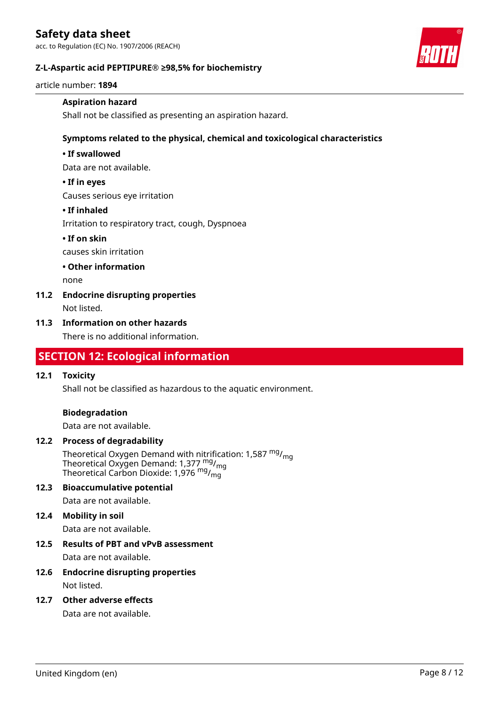acc. to Regulation (EC) No. 1907/2006 (REACH)

#### **Z-L-Aspartic acid PEPTIPURE® ≥98,5% for biochemistry**

article number: **1894**

#### **Aspiration hazard**

Shall not be classified as presenting an aspiration hazard.

#### **Symptoms related to the physical, chemical and toxicological characteristics**

#### **• If swallowed**

Data are not available.

#### **• If in eyes**

Causes serious eye irritation

#### **• If inhaled**

Irritation to respiratory tract, cough, Dyspnoea

#### **• If on skin**

causes skin irritation

#### **• Other information**

none

### **11.2 Endocrine disrupting properties**

Not listed.

#### **11.3 Information on other hazards**

There is no additional information.

### **SECTION 12: Ecological information**

#### **12.1 Toxicity**

Shall not be classified as hazardous to the aquatic environment.

#### **Biodegradation**

Data are not available.

#### **12.2 Process of degradability**

Theoretical Oxygen Demand with nitrification: 1,587 <sup>mg</sup>/<sub>mg</sub> Theoretical Oxygen Demand: 1,377  $_{\text{mg}}^{\text{mg}}$ /<sub>mg</sub> Theoretical Carbon Dioxide: 1,976 mg/mg

#### **12.3 Bioaccumulative potential**

Data are not available.

#### **12.4 Mobility in soil**

Data are not available.

# **12.5 Results of PBT and vPvB assessment**

Data are not available.

#### **12.6 Endocrine disrupting properties** Not listed.

**12.7 Other adverse effects**

Data are not available.

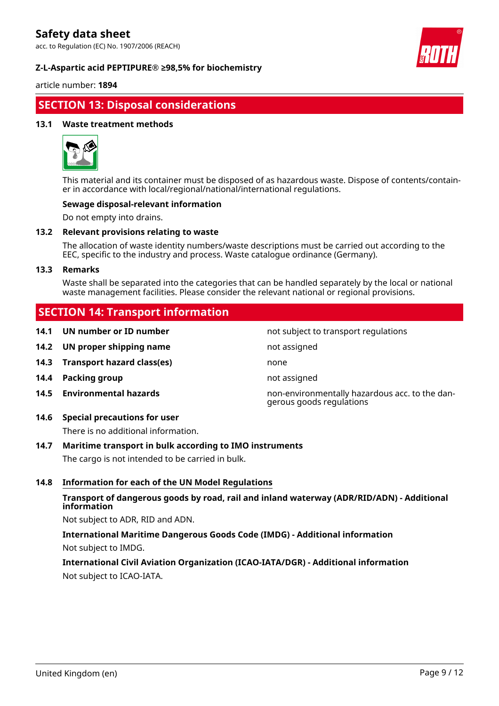acc. to Regulation (EC) No. 1907/2006 (REACH)

#### **Z-L-Aspartic acid PEPTIPURE® ≥98,5% for biochemistry**



article number: **1894**

### **SECTION 13: Disposal considerations**

#### **13.1 Waste treatment methods**



This material and its container must be disposed of as hazardous waste. Dispose of contents/container in accordance with local/regional/national/international regulations.

#### **Sewage disposal-relevant information**

Do not empty into drains.

#### **13.2 Relevant provisions relating to waste**

The allocation of waste identity numbers/waste descriptions must be carried out according to the EEC, specific to the industry and process. Waste catalogue ordinance (Germany).

#### **13.3 Remarks**

Waste shall be separated into the categories that can be handled separately by the local or national waste management facilities. Please consider the relevant national or regional provisions.

### **SECTION 14: Transport information**

- **14.1 UN number or ID number not subject to transport regulations**
- **14.2 UN proper shipping name** not assigned
- **14.3 Transport hazard class(es)** none
- **14.4 Packing group not assigned**
- 
- **14.6 Special precautions for user**

There is no additional information.

#### **14.7 Maritime transport in bulk according to IMO instruments**

The cargo is not intended to be carried in bulk.

#### **14.8 Information for each of the UN Model Regulations**

#### **Transport of dangerous goods by road, rail and inland waterway (ADR/RID/ADN) - Additional information**

Not subject to ADR, RID and ADN.

**International Maritime Dangerous Goods Code (IMDG) - Additional information** Not subject to IMDG.

**International Civil Aviation Organization (ICAO-IATA/DGR) - Additional information** Not subject to ICAO-IATA.

**14.5 Environmental hazards** non-environmentally hazardous acc. to the dangerous goods regulations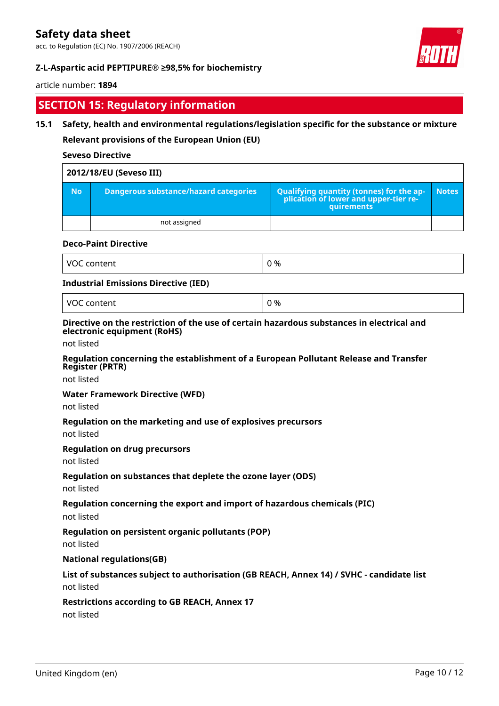acc. to Regulation (EC) No. 1907/2006 (REACH)

#### **Z-L-Aspartic acid PEPTIPURE® ≥98,5% for biochemistry**



#### article number: **1894**

### **SECTION 15: Regulatory information**

#### **15.1 Safety, health and environmental regulations/legislation specific for the substance or mixture**

**Relevant provisions of the European Union (EU)**

#### **Seveso Directive**

|           | 2012/18/EU (Seveso III)                      |                                                                                                   |              |
|-----------|----------------------------------------------|---------------------------------------------------------------------------------------------------|--------------|
| <b>No</b> | <b>Dangerous substance/hazard categories</b> | Qualifying quantity (tonnes) for the application of lower and upper-tier re-<br><b>auirements</b> | <b>Notes</b> |
|           | not assigned                                 |                                                                                                   |              |

#### **Deco-Paint Directive**

| $\overline{\phantom{a}}$<br>.<br>$\mathcal{U}$<br>$-2 - 1 - 1$ | ገ % |
|----------------------------------------------------------------|-----|
|----------------------------------------------------------------|-----|

#### **Industrial Emissions Directive (IED)**

VOC content  $\vert$  0 %

#### **Directive on the restriction of the use of certain hazardous substances in electrical and electronic equipment (RoHS)**

not listed

#### **Regulation concerning the establishment of a European Pollutant Release and Transfer Register (PRTR)**

not listed

#### **Water Framework Directive (WFD)**

not listed

#### **Regulation on the marketing and use of explosives precursors**

not listed

#### **Regulation on drug precursors**

not listed

#### **Regulation on substances that deplete the ozone layer (ODS)**

not listed

#### **Regulation concerning the export and import of hazardous chemicals (PIC)**

not listed

#### **Regulation on persistent organic pollutants (POP)**

not listed

#### **National regulations(GB)**

# **List of substances subject to authorisation (GB REACH, Annex 14) / SVHC - candidate list**

not listed

#### **Restrictions according to GB REACH, Annex 17**

not listed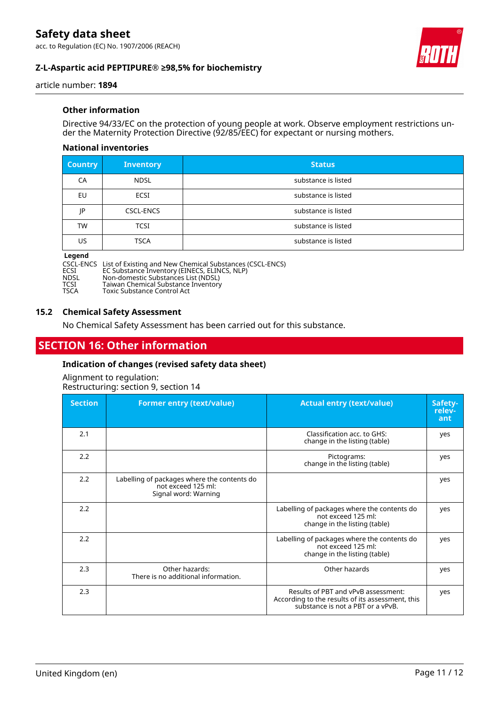acc. to Regulation (EC) No. 1907/2006 (REACH)

#### **Z-L-Aspartic acid PEPTIPURE® ≥98,5% for biochemistry**



article number: **1894**

#### **Other information**

Directive 94/33/EC on the protection of young people at work. Observe employment restrictions under the Maternity Protection Directive (92/85/EEC) for expectant or nursing mothers.

#### **National inventories**

| <b>Country</b> | <b>Inventory</b> | <b>Status</b>       |
|----------------|------------------|---------------------|
| CA             | <b>NDSL</b>      | substance is listed |
| EU             | <b>ECSI</b>      | substance is listed |
| ΙP             | <b>CSCL-ENCS</b> | substance is listed |
| <b>TW</b>      | <b>TCSI</b>      | substance is listed |
| US             | <b>TSCA</b>      | substance is listed |

# **Legend**

CSCL-ENCS List of Existing and New Chemical Substances (CSCL-ENCS)

ECSI EC Substance Inventory (EINECS, ELINCS, NLP)

NDSL Non-domestic Substances List (NDSL)

**TABILET NON-OMBASIC SUBStanceS List (NDSL)<br>TCSI Taiwan Chemical Substance Inventory<br>TSCA Toxic Substance Control Act** 

Toxic Substance Control Act

#### **15.2 Chemical Safety Assessment**

No Chemical Safety Assessment has been carried out for this substance.

### **SECTION 16: Other information**

#### **Indication of changes (revised safety data sheet)**

Alignment to regulation: Restructuring: section 9, section 14

| <b>Section</b> | <b>Former entry (text/value)</b>                                                          | <b>Actual entry (text/value)</b>                                                                                             | Safety-<br>relev-<br>ant |
|----------------|-------------------------------------------------------------------------------------------|------------------------------------------------------------------------------------------------------------------------------|--------------------------|
| 2.1            |                                                                                           | Classification acc. to GHS:<br>change in the listing (table)                                                                 | yes                      |
| 2.2            |                                                                                           | Pictograms:<br>change in the listing (table)                                                                                 | yes                      |
| 2.2            | Labelling of packages where the contents do<br>not exceed 125 ml:<br>Signal word: Warning |                                                                                                                              | yes                      |
| 2.2            |                                                                                           | Labelling of packages where the contents do<br>not exceed 125 ml:<br>change in the listing (table)                           | yes                      |
| 2.2            |                                                                                           | Labelling of packages where the contents do<br>not exceed 125 ml:<br>change in the listing (table)                           | yes                      |
| 2.3            | Other hazards:<br>There is no additional information.                                     | Other hazards                                                                                                                | yes                      |
| 2.3            |                                                                                           | Results of PBT and vPvB assessment:<br>According to the results of its assessment, this<br>substance is not a PBT or a vPvB. | yes                      |